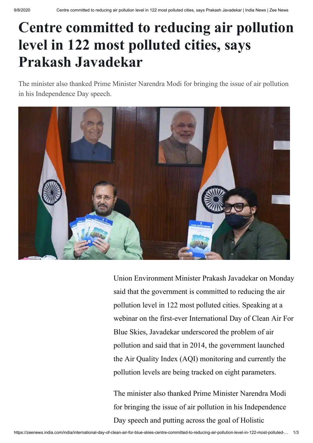## **Centre committed to reducing air pollution level in 122 most polluted cities, says Prakash Javadekar**

The minister also thanked Prime Minister Narendra Modi for bringing the issue of air pollution in his Independence Day speech.



Union Environment Minister Prakash Javadekar on Monday said that the government is committed to reducing the air pollution level in 122 most polluted cities. Speaking at a webinar on the first-ever International Day of Clean Air For Blue Skies, Javadekar underscored the problem of air pollution and said that in 2014, the government launched the Air Quality Index (AQI) monitoring and currently the pollution levels are being tracked on eight parameters.

The minister also thanked Prime Minister Narendra Modi for bringing the issue of air pollution in his Independence Day speech and putting across the goal of Holistic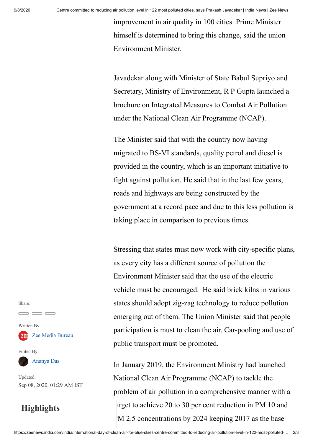improvement in air quality in 100 cities. Prime Minister himself is determined to bring this change, said the union Environment Minister.

Javadekar along with Minister of State Babul Supriyo and Secretary, Ministry of Environment, R P Gupta launched a brochure on Integrated Measures to Combat Air Pollution under the National Clean Air Programme (NCAP).

The Minister said that with the country now having migrated to BS-VI standards, quality petrol and diesel is provided in the country, which is an important initiative to fight against pollution. He said that in the last few years, roads and highways are being constructed by the government at a record pace and due to this less pollution is taking place in comparison to previous times.

Stressing that states must now work with city-specific plans, as every city has a different source of pollution the Environment Minister said that the use of the electric vehicle must be encouraged. He said brick kilns in various states should adopt zig-zag technology to reduce pollution emerging out of them. The Union Minister said that people participation is must to clean the air. Car-pooling and use of public transport must be promoted.

In January 2019, the Environment Ministry had launched National Clean Air Programme (NCAP) to tackle the problem of air pollution in a comprehensive manner with a arget to achieve 20 to 30 per cent reduction in PM 10 and M 2.5 concentrations by 2024 keeping 2017 as the base

Share:

Written By: **ZE:** [Zee Media Bureau](https://zeenews.india.com/author/zee-media-bureau)

Edited By:

[Ananya Das](https://zeenews.india.com/author/ananya-das)

Updated: Sep 08, 2020, 01:29 AM IST

## **Highlights**